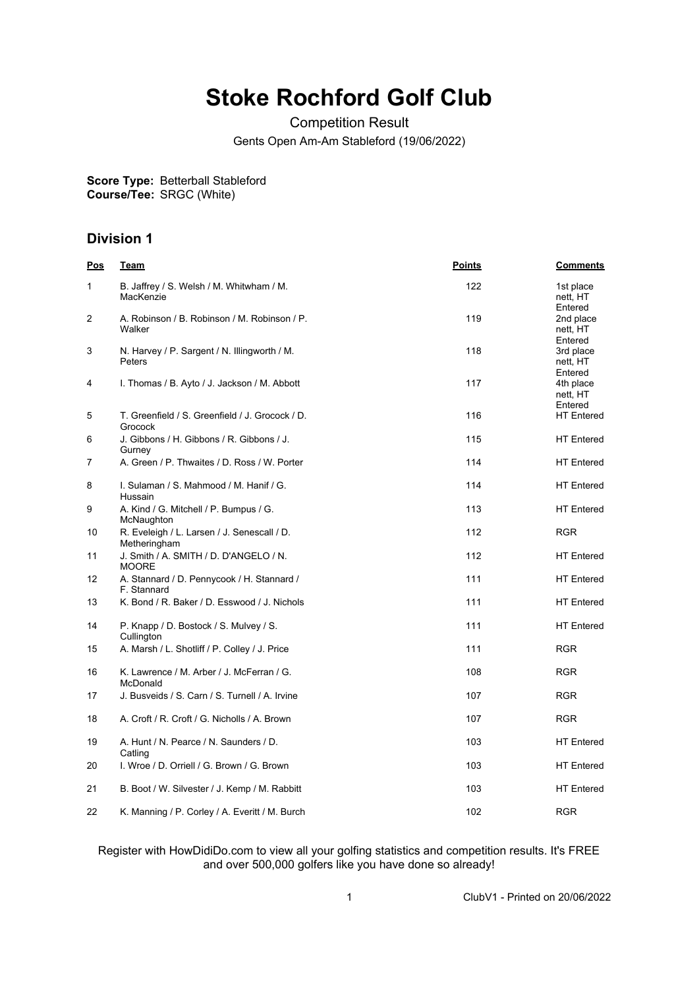## **Stoke Rochford Golf Club**

Competition Result

Gents Open Am-Am Stableford (19/06/2022)

**Score Type: Course/Tee:** Betterball Stableford SRGC (White)

## **Division 1**

| <u>Pos</u> | <u>Team</u>                                                 | <b>Points</b> | <b>Comments</b>                  |
|------------|-------------------------------------------------------------|---------------|----------------------------------|
| 1          | B. Jaffrey / S. Welsh / M. Whitwham / M.<br>MacKenzie       | 122           | 1st place<br>nett, HT<br>Entered |
| 2          | A. Robinson / B. Robinson / M. Robinson / P.<br>Walker      | 119           | 2nd place<br>nett. HT<br>Entered |
| 3          | N. Harvey / P. Sargent / N. Illingworth / M.<br>Peters      | 118           | 3rd place<br>nett, HT<br>Entered |
| 4          | I. Thomas / B. Ayto / J. Jackson / M. Abbott                | 117           | 4th place<br>nett, HT<br>Entered |
| 5          | T. Greenfield / S. Greenfield / J. Grocock / D.<br>Grocock  | 116           | <b>HT</b> Entered                |
| 6          | J. Gibbons / H. Gibbons / R. Gibbons / J.<br>Gurney         | 115           | <b>HT</b> Entered                |
| 7          | A. Green / P. Thwaites / D. Ross / W. Porter                | 114           | <b>HT</b> Entered                |
| 8          | I. Sulaman / S. Mahmood / M. Hanif / G.<br>Hussain          | 114           | <b>HT</b> Entered                |
| 9          | A. Kind / G. Mitchell / P. Bumpus / G.<br>McNaughton        | 113           | <b>HT</b> Entered                |
| 10         | R. Eveleigh / L. Larsen / J. Senescall / D.<br>Metheringham | 112           | <b>RGR</b>                       |
| 11         | J. Smith / A. SMITH / D. D'ANGELO / N.<br><b>MOORE</b>      | 112           | <b>HT</b> Entered                |
| 12         | A. Stannard / D. Pennycook / H. Stannard /<br>F. Stannard   | 111           | <b>HT</b> Entered                |
| 13         | K. Bond / R. Baker / D. Esswood / J. Nichols                | 111           | <b>HT</b> Entered                |
| 14         | P. Knapp / D. Bostock / S. Mulvey / S.<br>Cullington        | 111           | <b>HT Entered</b>                |
| 15         | A. Marsh / L. Shotliff / P. Colley / J. Price               | 111           | <b>RGR</b>                       |
| 16         | K. Lawrence / M. Arber / J. McFerran / G.<br>McDonald       | 108           | <b>RGR</b>                       |
| 17         | J. Busveids / S. Carn / S. Turnell / A. Irvine              | 107           | <b>RGR</b>                       |
| 18         | A. Croft / R. Croft / G. Nicholls / A. Brown                | 107           | <b>RGR</b>                       |
| 19         | A. Hunt / N. Pearce / N. Saunders / D.<br>Catling           | 103           | <b>HT</b> Entered                |
| 20         | I. Wroe / D. Orriell / G. Brown / G. Brown                  | 103           | <b>HT</b> Entered                |
| 21         | B. Boot / W. Silvester / J. Kemp / M. Rabbitt               | 103           | <b>HT Entered</b>                |
| 22         | K. Manning / P. Corley / A. Everitt / M. Burch              | 102           | <b>RGR</b>                       |

Register with HowDidiDo.com to view all your golfing statistics and competition results. It's FREE and over 500,000 golfers like you have done so already!